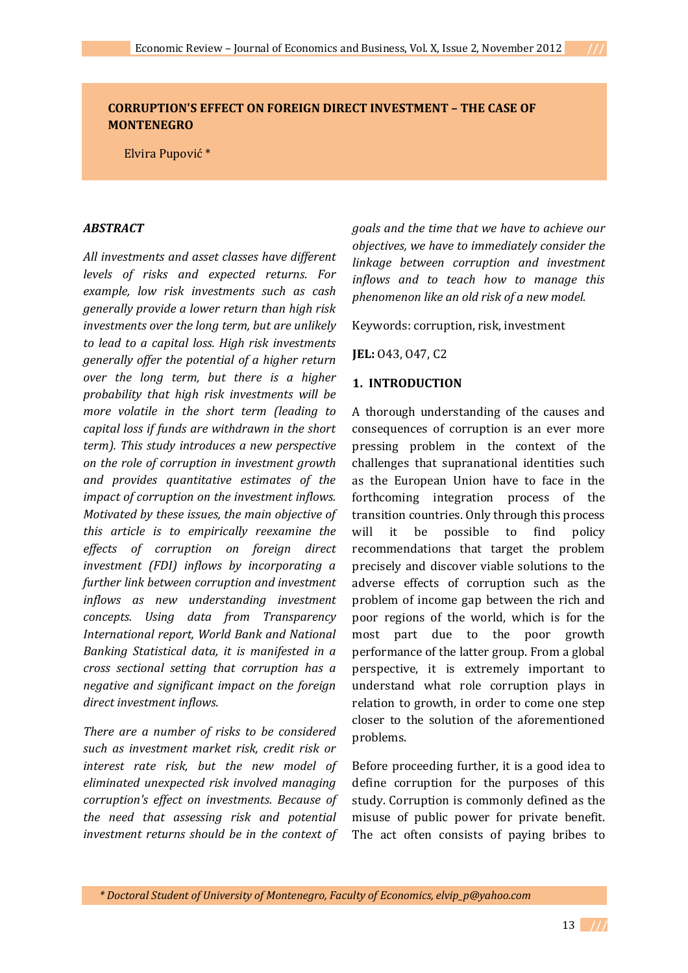# **CORRUPTION'S EFFECT ON FOREIGN DIRECT INVESTMENT – THE CASE OF MONTENEGRO**

Elvira Pupović \*

#### *ABSTRACT*

*All investments and asset classes have different levels of risks and expected returns. For example, low risk investments such as cash generally provide a lower return than high risk investments over the long term, but are unlikely to lead to a capital loss. High risk investments generally offer the potential of a higher return over the long term, but there is a higher probability that high risk investments will be more volatile in the short term (leading to capital loss if funds are withdrawn in the short term). This study introduces a new perspective on the role of corruption in investment growth and provides quantitative estimates of the impact of corruption on the investment inflows. Motivated by these issues, the main objective of this article is to empirically reexamine the effects of corruption on foreign direct investment (FDI) inflows by incorporating a further link between corruption and investment inflows as new understanding investment concepts. Using data from Transparency International report, World Bank and National Banking Statistical data, it is manifested in a cross sectional setting that corruption has a negative and significant impact on the foreign direct investment inflows.*

*There are a number of risks to be considered such as investment market risk, credit risk or interest rate risk, but the new model of eliminated unexpected risk involved managing corruption's effect on investments. Because of the need that assessing risk and potential investment returns should be in the context of*  *goals and the time that we have to achieve our objectives, we have to immediately consider the linkage between corruption and investment inflows and to teach how to manage this phenomenon like an old risk of a new model.*

Keywords: corruption, risk, investment

**JEL:** O43, O47, C2

# **1. INTRODUCTION**

A thorough understanding of the causes and consequences of corruption is an ever more pressing problem in the context of the challenges that supranational identities such as the European Union have to face in the forthcoming integration process of the transition countries. Only through this process will it be possible to find policy recommendations that target the problem precisely and discover viable solutions to the adverse effects of corruption such as the problem of income gap between the rich and poor regions of the world, which is for the most part due to the poor growth performance of the latter group. From a global perspective, it is extremely important to understand what role corruption plays in relation to growth, in order to come one step closer to the solution of the aforementioned problems.

Before proceeding further, it is a good idea to define corruption for the purposes of this study. Corruption is commonly defined as the misuse of public power for private benefit. The act often consists of paying bribes to

*\* Doctoral Student of University of Montenegro, Faculty of Economics, elvip\_p@yahoo.com*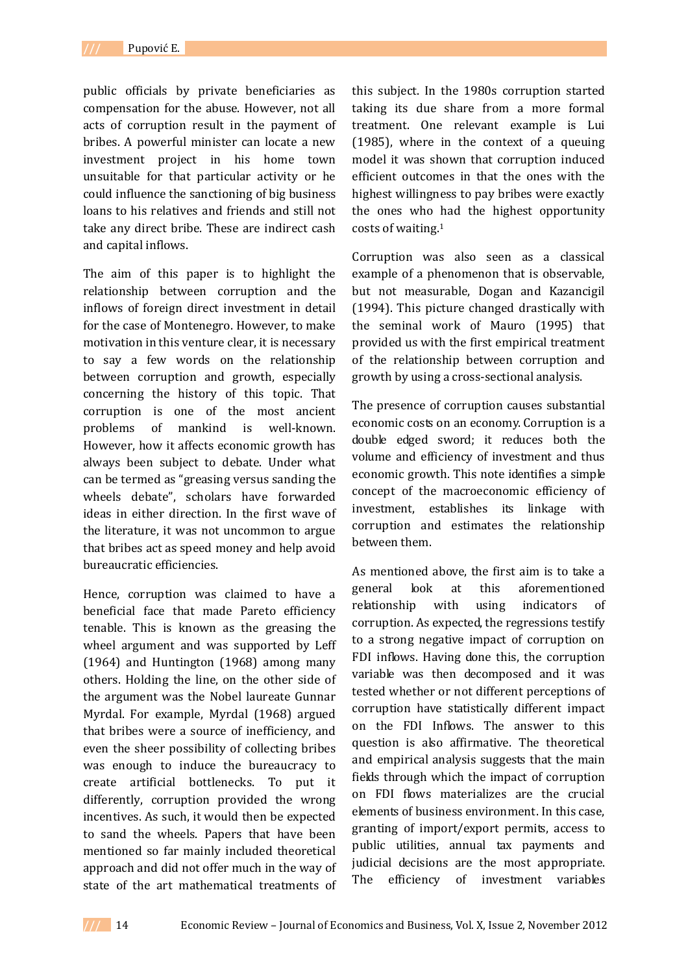public officials by private beneficiaries as compensation for the abuse. However, not all acts of corruption result in the payment of bribes. A powerful minister can locate a new investment project in his home town unsuitable for that particular activity or he could influence the sanctioning of big business loans to his relatives and friends and still not take any direct bribe. These are indirect cash and capital inflows.

The aim of this paper is to highlight the relationship between corruption and the inflows of foreign direct investment in detail for the case of Montenegro. However, to make motivation in this venture clear, it is necessary to say a few words on the relationship between corruption and growth, especially concerning the history of this topic. That corruption is one of the most ancient problems of mankind is well-known. However, how it affects economic growth has always been subject to debate. Under what can be termed as "greasing versus sanding the wheels debate", scholars have forwarded ideas in either direction. In the first wave of the literature, it was not uncommon to argue that bribes act as speed money and help avoid bureaucratic efficiencies.

Hence, corruption was claimed to have a beneficial face that made Pareto efficiency tenable. This is known as the greasing the wheel argument and was supported by Leff (1964) and Huntington (1968) among many others. Holding the line, on the other side of the argument was the Nobel laureate Gunnar Myrdal. For example, Myrdal (1968) argued that bribes were a source of inefficiency, and even the sheer possibility of collecting bribes was enough to induce the bureaucracy to create artificial bottlenecks. To put it differently, corruption provided the wrong incentives. As such, it would then be expected to sand the wheels. Papers that have been mentioned so far mainly included theoretical approach and did not offer much in the way of state of the art mathematical treatments of

this subject. In the 1980s corruption started taking its due share from a more formal treatment. One relevant example is Lui (1985), where in the context of a queuing model it was shown that corruption induced efficient outcomes in that the ones with the highest willingness to pay bribes were exactly the ones who had the highest opportunity costs of waiting. 1

Corruption was also seen as a classical example of a phenomenon that is observable, but not measurable, Dogan and Kazancigil (1994). This picture changed drastically with the seminal work of Mauro (1995) that provided us with the first empirical treatment of the relationship between corruption and growth by using a cross-sectional analysis.

The presence of corruption causes substantial economic costs on an economy. Corruption is a double edged sword; it reduces both the volume and efficiency of investment and thus economic growth. This note identifies a simple concept of the macroeconomic efficiency of investment, establishes its linkage with corruption and estimates the relationship between them.

As mentioned above, the first aim is to take a general look at this aforementioned relationship with using indicators of corruption. As expected, the regressions testify to a strong negative impact of corruption on FDI inflows. Having done this, the corruption variable was then decomposed and it was tested whether or not different perceptions of corruption have statistically different impact on the FDI Inflows. The answer to this question is also affirmative. The theoretical and empirical analysis suggests that the main fields through which the impact of corruption on FDI flows materializes are the crucial elements of business environment. In this case, granting of import/export permits, access to public utilities, annual tax payments and judicial decisions are the most appropriate. The efficiency of investment variables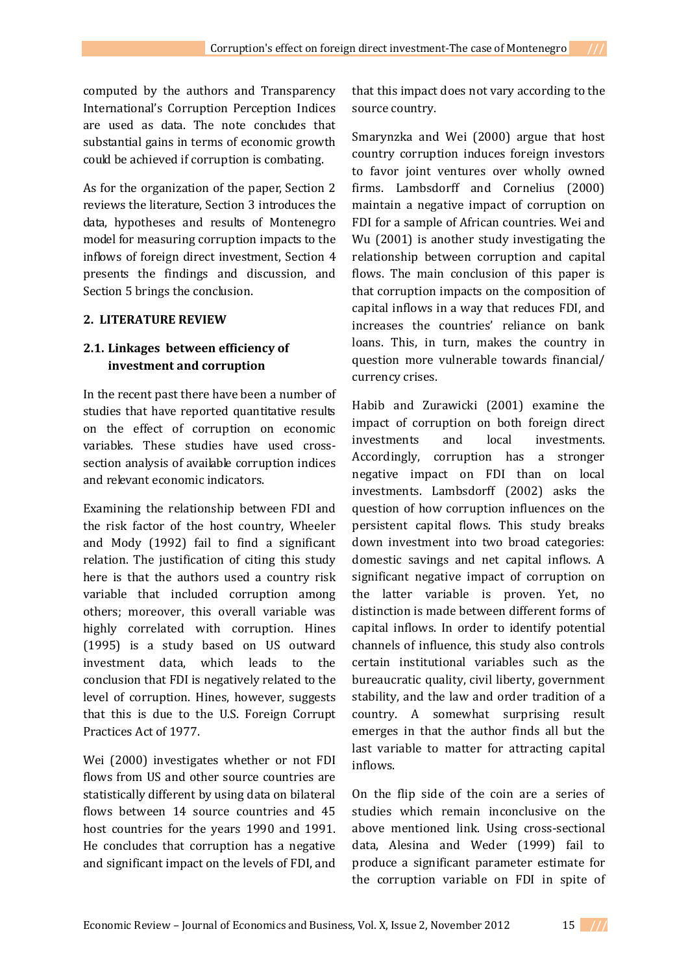computed by the authors and Transparency International's Corruption Perception Indices are used as data. The note concludes that substantial gains in terms of economic growth could be achieved if corruption is combating.

As for the organization of the paper, Section 2 reviews the literature, Section 3 introduces the data, hypotheses and results of Montenegro model for measuring corruption impacts to the inflows of foreign direct investment, Section 4 presents the findings and discussion, and Section 5 brings the conclusion.

#### **2. LITERATURE REVIEW**

# **2.1. Linkages between efficiency of investment and corruption**

In the recent past there have been a number of studies that have reported quantitative results on the effect of corruption on economic variables. These studies have used crosssection analysis of available corruption indices and relevant economic indicators.

Examining the relationship between FDI and the risk factor of the host country, Wheeler and Mody (1992) fail to find a significant relation. The justification of citing this study here is that the authors used a country risk variable that included corruption among others; moreover, this overall variable was highly correlated with corruption. Hines (1995) is a study based on US outward investment data, which leads to the conclusion that FDI is negatively related to the level of corruption. Hines, however, suggests that this is due to the U.S. Foreign Corrupt Practices Act of 1977.

Wei (2000) investigates whether or not FDI flows from US and other source countries are statistically different by using data on bilateral flows between 14 source countries and 45 host countries for the years 1990 and 1991. He concludes that corruption has a negative and significant impact on the levels of FDI, and

that this impact does not vary according to the source country.

Smarynzka and Wei (2000) argue that host country corruption induces foreign investors to favor joint ventures over wholly owned firms. Lambsdorff and Cornelius (2000) maintain a negative impact of corruption on FDI for a sample of African countries. Wei and Wu (2001) is another study investigating the relationship between corruption and capital flows. The main conclusion of this paper is that corruption impacts on the composition of capital inflows in a way that reduces FDI, and increases the countries' reliance on bank loans. This, in turn, makes the country in question more vulnerable towards financial/ currency crises.

Habib and Zurawicki (2001) examine the impact of corruption on both foreign direct investments and local investments. Accordingly, corruption has a stronger negative impact on FDI than on local investments. Lambsdorff (2002) asks the question of how corruption influences on the persistent capital flows. This study breaks down investment into two broad categories: domestic savings and net capital inflows. A significant negative impact of corruption on the latter variable is proven. Yet, no distinction is made between different forms of capital inflows. In order to identify potential channels of influence, this study also controls certain institutional variables such as the bureaucratic quality, civil liberty, government stability, and the law and order tradition of a country. A somewhat surprising result emerges in that the author finds all but the last variable to matter for attracting capital inflows.

On the flip side of the coin are a series of studies which remain inconclusive on the above mentioned link. Using cross-sectional data, Alesina and Weder (1999) fail to produce a significant parameter estimate for the corruption variable on FDI in spite of

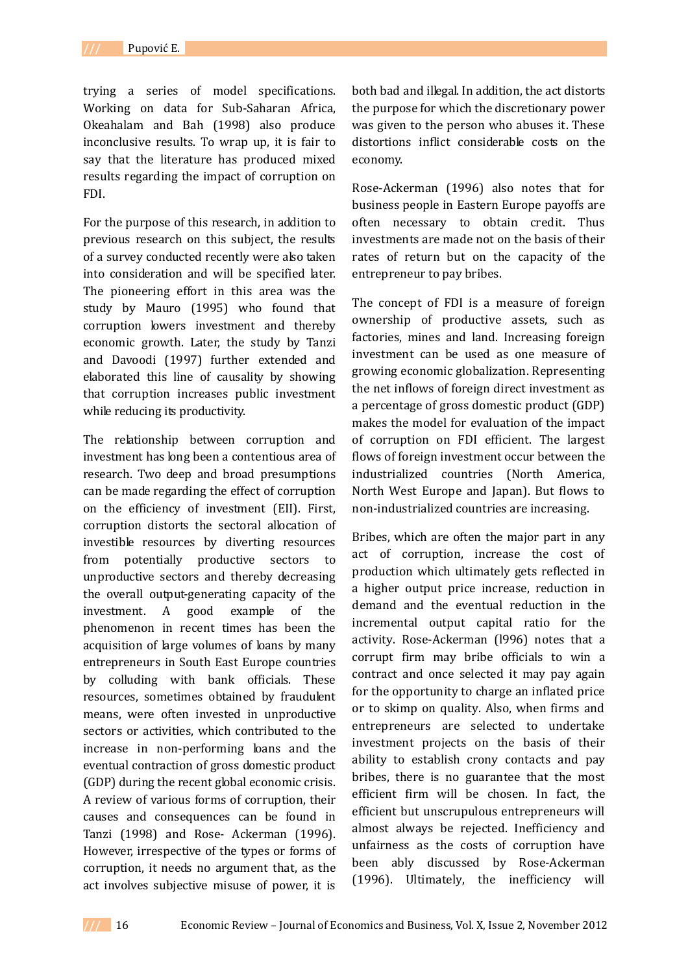trying a series of model specifications. Working on data for Sub-Saharan Africa, Okeahalam and Bah (1998) also produce inconclusive results. To wrap up, it is fair to say that the literature has produced mixed results regarding the impact of corruption on FDI.

For the purpose of this research, in addition to previous research on this subject, the results of a survey conducted recently were also taken into consideration and will be specified later. The pioneering effort in this area was the study by Mauro (1995) who found that corruption lowers investment and thereby economic growth. Later, the study by Tanzi and Davoodi (1997) further extended and elaborated this line of causality by showing that corruption increases public investment while reducing its productivity.

The relationship between corruption and investment has long been a contentious area of research. Two deep and broad presumptions can be made regarding the effect of corruption on the efficiency of investment (EII). First, corruption distorts the sectoral allocation of investible resources by diverting resources from potentially productive sectors to unproductive sectors and thereby decreasing the overall output-generating capacity of the investment. A good example of the phenomenon in recent times has been the acquisition of large volumes of loans by many entrepreneurs in South East Europe countries by colluding with bank officials. These resources, sometimes obtained by fraudulent means, were often invested in unproductive sectors or activities, which contributed to the increase in non-performing loans and the eventual contraction of gross domestic product (GDP) during the recent global economic crisis. A review of various forms of corruption, their causes and consequences can be found in Tanzi (1998) and Rose- Ackerman (1996). However, irrespective of the types or forms of corruption, it needs no argument that, as the act involves subjective misuse of power, it is

both bad and illegal. In addition, the act distorts the purpose for which the discretionary power was given to the person who abuses it. These distortions inflict considerable costs on the economy.

Rose-Ackerman (1996) also notes that for business people in Eastern Europe payoffs are often necessary to obtain credit. Thus investments are made not on the basis of their rates of return but on the capacity of the entrepreneur to pay bribes.

The concept of FDI is a measure of foreign ownership of productive assets, such as factories, mines and land. Increasing foreign investment can be used as one measure of growing economic globalization. Representing the net inflows of foreign direct investment as a percentage of gross domestic product (GDP) makes the model for evaluation of the impact of corruption on FDI efficient. The largest flows of foreign investment occur between the industrialized countries (North America, North West Europe and Japan). But flows to non-industrialized countries are increasing.

Bribes, which are often the major part in any act of corruption, increase the cost of production which ultimately gets reflected in a higher output price increase, reduction in demand and the eventual reduction in the incremental output capital ratio for the activity. Rose-Ackerman (l996) notes that a corrupt firm may bribe officials to win a contract and once selected it may pay again for the opportunity to charge an inflated price or to skimp on quality. Also, when firms and entrepreneurs are selected to undertake investment projects on the basis of their ability to establish crony contacts and pay bribes, there is no guarantee that the most efficient firm will be chosen. In fact, the efficient but unscrupulous entrepreneurs will almost always be rejected. Inefficiency and unfairness as the costs of corruption have been ably discussed by Rose-Ackerman (1996). Ultimately, the inefficiency will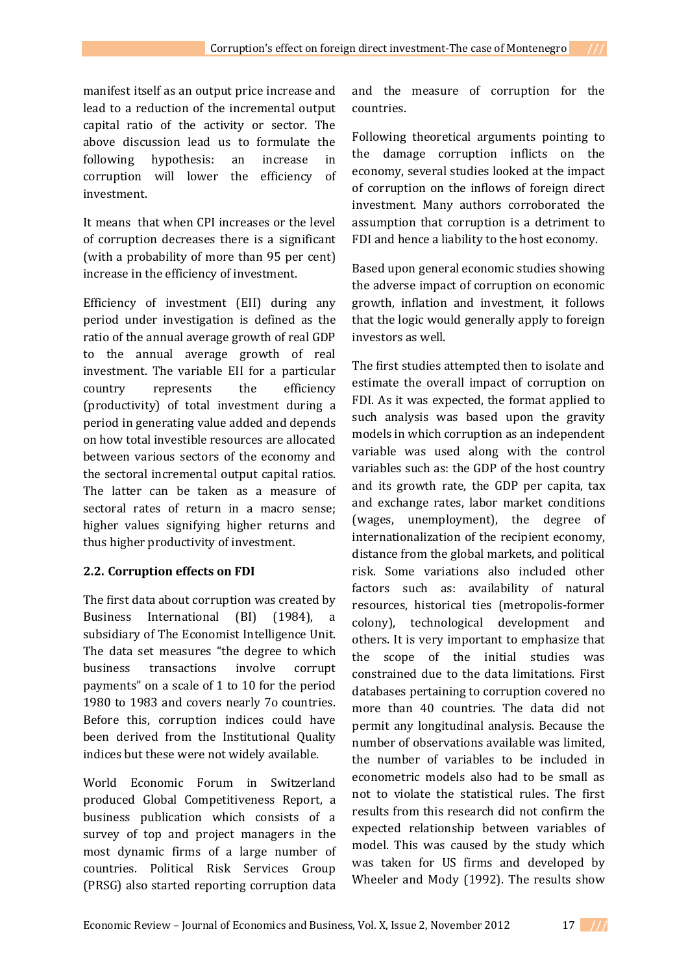manifest itself as an output price increase and lead to a reduction of the incremental output capital ratio of the activity or sector. The above discussion lead us to formulate the following hypothesis: an increase in corruption will lower the efficiency of investment.

It means that when CPI increases or the level of corruption decreases there is a significant (with a probability of more than 95 per cent) increase in the efficiency of investment.

Efficiency of investment (EII) during any period under investigation is defined as the ratio of the annual average growth of real GDP to the annual average growth of real investment. The variable EII for a particular country represents the efficiency (productivity) of total investment during a period in generating value added and depends on how total investible resources are allocated between various sectors of the economy and the sectoral incremental output capital ratios. The latter can be taken as a measure of sectoral rates of return in a macro sense; higher values signifying higher returns and thus higher productivity of investment.

# **2.2. Corruption effects on FDI**

The first data about corruption was created by Business International (BI) (1984), a subsidiary of The Economist Intelligence Unit. The data set measures "the degree to which business transactions involve corrupt payments" on a scale of 1 to 10 for the period 1980 to 1983 and covers nearly 7o countries. Before this, corruption indices could have been derived from the Institutional Quality indices but these were not widely available.

World Economic Forum in Switzerland produced Global Competitiveness Report, a business publication which consists of a survey of top and project managers in the most dynamic firms of a large number of countries. Political Risk Services Group (PRSG) also started reporting corruption data

and the measure of corruption for the countries.

Following theoretical arguments pointing to the damage corruption inflicts on the economy, several studies looked at the impact of corruption on the inflows of foreign direct investment. Many authors corroborated the assumption that corruption is a detriment to FDI and hence a liability to the host economy.

Based upon general economic studies showing the adverse impact of corruption on economic growth, inflation and investment, it follows that the logic would generally apply to foreign investors as well.

The first studies attempted then to isolate and estimate the overall impact of corruption on FDI. As it was expected, the format applied to such analysis was based upon the gravity models in which corruption as an independent variable was used along with the control variables such as: the GDP of the host country and its growth rate, the GDP per capita, tax and exchange rates, labor market conditions (wages, unemployment), the degree of internationalization of the recipient economy, distance from the global markets, and political risk. Some variations also included other factors such as: availability of natural resources, historical ties (metropolis-former colony), technological development and others. It is very important to emphasize that the scope of the initial studies was constrained due to the data limitations. First databases pertaining to corruption covered no more than 40 countries. The data did not permit any longitudinal analysis. Because the number of observations available was limited, the number of variables to be included in econometric models also had to be small as not to violate the statistical rules. The first results from this research did not confirm the expected relationship between variables of model. This was caused by the study which was taken for US firms and developed by Wheeler and Mody (1992). The results show

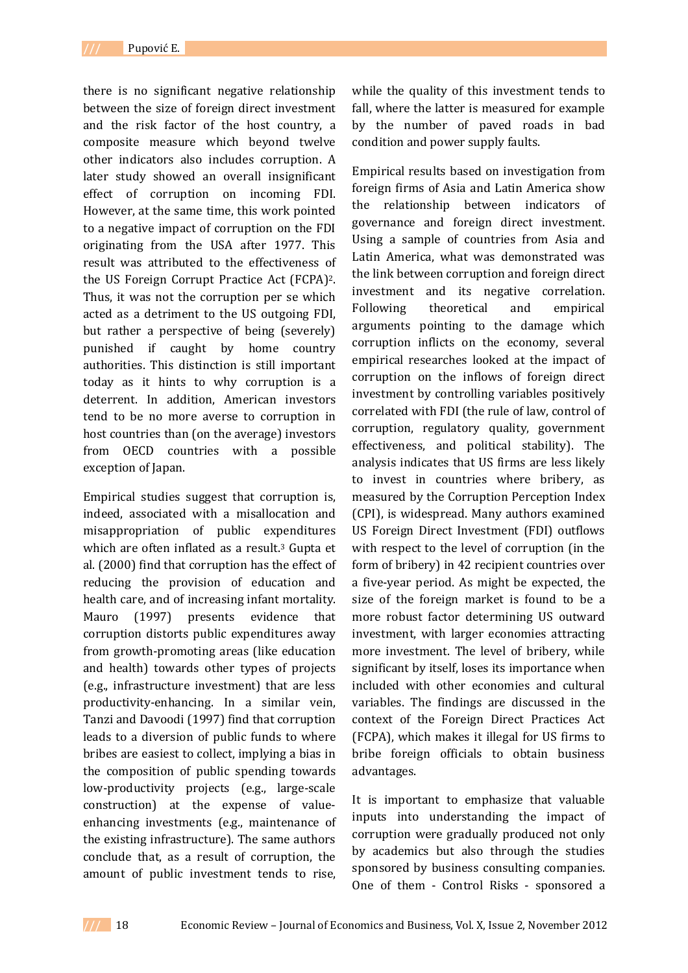there is no significant negative relationship between the size of foreign direct investment and the risk factor of the host country, a composite measure which beyond twelve other indicators also includes corruption. A later study showed an overall insignificant effect of corruption on incoming FDI. However, at the same time, this work pointed to a negative impact of corruption on the FDI originating from the USA after 1977. This result was attributed to the effectiveness of the US Foreign Corrupt Practice Act (FCPA)2. Thus, it was not the corruption per se which acted as a detriment to the US outgoing FDI, but rather a perspective of being (severely) punished if caught by home country authorities. This distinction is still important today as it hints to why corruption is a deterrent. In addition, American investors tend to be no more averse to corruption in host countries than (on the average) investors from OECD countries with a possible exception of Japan.

Empirical studies suggest that corruption is, indeed, associated with a misallocation and misappropriation of public expenditures which are often inflated as a result.<sup>3</sup> Gupta et al. (2000) find that corruption has the effect of reducing the provision of education and health care, and of increasing infant mortality. Mauro (1997) presents evidence that corruption distorts public expenditures away from growth-promoting areas (like education and health) towards other types of projects (e.g., infrastructure investment) that are less productivity-enhancing. In a similar vein, Tanzi and Davoodi (1997) find that corruption leads to a diversion of public funds to where bribes are easiest to collect, implying a bias in the composition of public spending towards low-productivity projects (e.g., large-scale construction) at the expense of valueenhancing investments (e.g., maintenance of the existing infrastructure). The same authors conclude that, as a result of corruption, the amount of public investment tends to rise,

while the quality of this investment tends to fall, where the latter is measured for example by the number of paved roads in bad condition and power supply faults.

Empirical results based on investigation from foreign firms of Asia and Latin America show the relationship between indicators of governance and foreign direct investment. Using a sample of countries from Asia and Latin America, what was demonstrated was the link between corruption and foreign direct investment and its negative correlation. Following theoretical and empirical arguments pointing to the damage which corruption inflicts on the economy, several empirical researches looked at the impact of corruption on the inflows of foreign direct investment by controlling variables positively correlated with FDI (the rule of law, control of corruption, regulatory quality, government effectiveness, and political stability). The analysis indicates that US firms are less likely to invest in countries where bribery, as measured by the Corruption Perception Index (CPI), is widespread. Many authors examined US Foreign Direct Investment (FDI) outflows with respect to the level of corruption (in the form of bribery) in 42 recipient countries over a five-year period. As might be expected, the size of the foreign market is found to be a more robust factor determining US outward investment, with larger economies attracting more investment. The level of bribery, while significant by itself, loses its importance when included with other economies and cultural variables. The findings are discussed in the context of the Foreign Direct Practices Act (FCPA), which makes it illegal for US firms to bribe foreign officials to obtain business advantages.

It is important to emphasize that valuable inputs into understanding the impact of corruption were gradually produced not only by academics but also through the studies sponsored by business consulting companies. One of them - Control Risks - sponsored a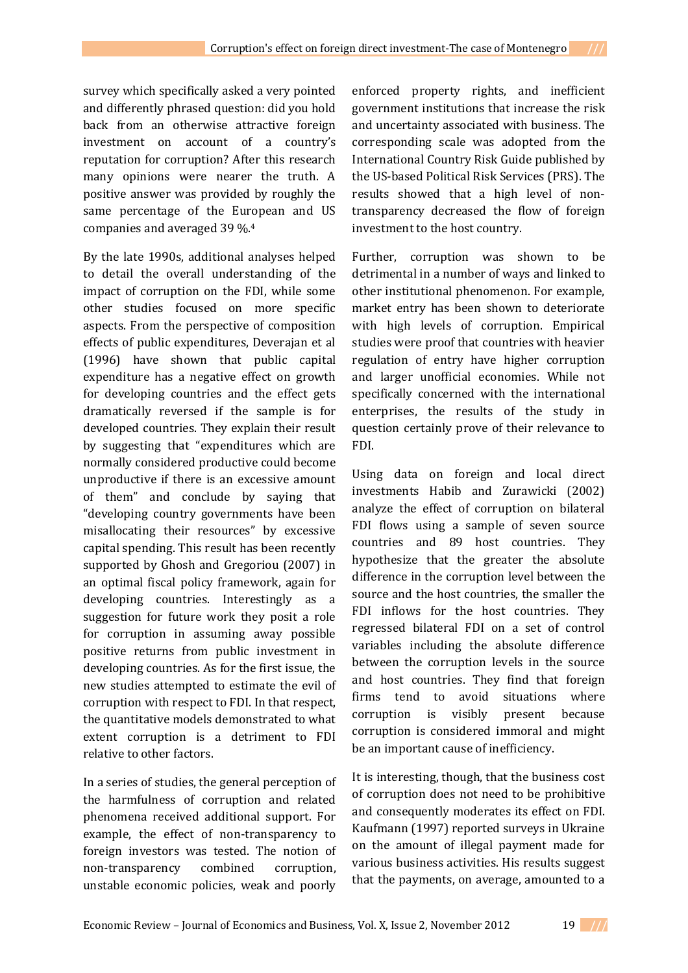survey which specifically asked a very pointed and differently phrased question: did you hold back from an otherwise attractive foreign investment on account of a country's reputation for corruption? After this research many opinions were nearer the truth. A positive answer was provided by roughly the same percentage of the European and US companies and averaged 39 %.<sup>4</sup>

By the late 1990s, additional analyses helped to detail the overall understanding of the impact of corruption on the FDI, while some other studies focused on more specific aspects. From the perspective of composition effects of public expenditures, Deverajan et al (1996) have shown that public capital expenditure has a negative effect on growth for developing countries and the effect gets dramatically reversed if the sample is for developed countries. They explain their result by suggesting that "expenditures which are normally considered productive could become unproductive if there is an excessive amount of them" and conclude by saying that "developing country governments have been misallocating their resources" by excessive capital spending. This result has been recently supported by Ghosh and Gregoriou (2007) in an optimal fiscal policy framework, again for developing countries. Interestingly as a suggestion for future work they posit a role for corruption in assuming away possible positive returns from public investment in developing countries. As for the first issue, the new studies attempted to estimate the evil of corruption with respect to FDI. In that respect, the quantitative models demonstrated to what extent corruption is a detriment to FDI relative to other factors.

In a series of studies, the general perception of the harmfulness of corruption and related phenomena received additional support. For example, the effect of non-transparency to foreign investors was tested. The notion of non-transparency combined corruption, unstable economic policies, weak and poorly

enforced property rights, and inefficient government institutions that increase the risk and uncertainty associated with business. The corresponding scale was adopted from the International Country Risk Guide published by the US-based Political Risk Services (PRS). The results showed that a high level of nontransparency decreased the flow of foreign investment to the host country.

Further, corruption was shown to be detrimental in a number of ways and linked to other institutional phenomenon. For example, market entry has been shown to deteriorate with high levels of corruption. Empirical studies were proof that countries with heavier regulation of entry have higher corruption and larger unofficial economies. While not specifically concerned with the international enterprises, the results of the study in question certainly prove of their relevance to FDI.

Using data on foreign and local direct investments Habib and Zurawicki (2002) analyze the effect of corruption on bilateral FDI flows using a sample of seven source countries and 89 host countries. They hypothesize that the greater the absolute difference in the corruption level between the source and the host countries, the smaller the FDI inflows for the host countries. They regressed bilateral FDI on a set of control variables including the absolute difference between the corruption levels in the source and host countries. They find that foreign firms tend to avoid situations where corruption is visibly present because corruption is considered immoral and might be an important cause of inefficiency.

It is interesting, though, that the business cost of corruption does not need to be prohibitive and consequently moderates its effect on FDI. Kaufmann (1997) reported surveys in Ukraine on the amount of illegal payment made for various business activities. His results suggest that the payments, on average, amounted to a

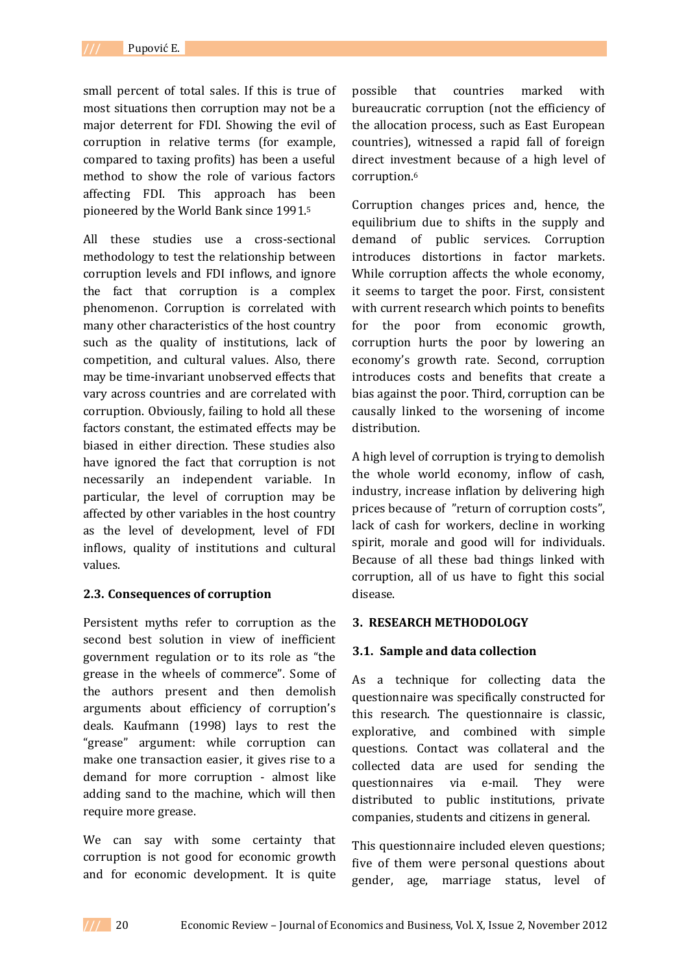small percent of total sales. If this is true of most situations then corruption may not be a major deterrent for FDI. Showing the evil of corruption in relative terms (for example, compared to taxing profits) has been a useful method to show the role of various factors affecting FDI. This approach has been pioneered by the World Bank since 1991.<sup>5</sup>

All these studies use a cross-sectional methodology to test the relationship between corruption levels and FDI inflows, and ignore the fact that corruption is a complex phenomenon. Corruption is correlated with many other characteristics of the host country such as the quality of institutions, lack of competition, and cultural values. Also, there may be time-invariant unobserved effects that vary across countries and are correlated with corruption. Obviously, failing to hold all these factors constant, the estimated effects may be biased in either direction. These studies also have ignored the fact that corruption is not necessarily an independent variable. In particular, the level of corruption may be affected by other variables in the host country as the level of development, level of FDI inflows, quality of institutions and cultural values.

## **2.3. Consequences of corruption**

Persistent myths refer to corruption as the second best solution in view of inefficient government regulation or to its role as "the grease in the wheels of commerce". Some of the authors present and then demolish arguments about efficiency of corruption's deals. Kaufmann (1998) lays to rest the "grease" argument: while corruption can make one transaction easier, it gives rise to a demand for more corruption - almost like adding sand to the machine, which will then require more grease.

We can say with some certainty that corruption is not good for economic growth and for economic development. It is quite possible that countries marked with bureaucratic corruption (not the efficiency of the allocation process, such as East European countries), witnessed a rapid fall of foreign direct investment because of a high level of corruption.<sup>6</sup>

Corruption changes prices and, hence, the equilibrium due to shifts in the supply and demand of public services. Corruption introduces distortions in factor markets. While corruption affects the whole economy, it seems to target the poor. First, consistent with current research which points to benefits for the poor from economic growth, corruption hurts the poor by lowering an economy's growth rate. Second, corruption introduces costs and benefits that create a bias against the poor. Third, corruption can be causally linked to the worsening of income distribution.

A high level of corruption is trying to demolish the whole world economy, inflow of cash, industry, increase inflation by delivering high prices because of "return of corruption costs", lack of cash for workers, decline in working spirit, morale and good will for individuals. Because of all these bad things linked with corruption, all of us have to fight this social disease.

#### **3. RESEARCH METHODOLOGY**

#### **3.1. Sample and data collection**

As a technique for collecting data the questionnaire was specifically constructed for this research. The questionnaire is classic, explorative, and combined with simple questions. Contact was collateral and the collected data are used for sending the questionnaires via e-mail. They were distributed to public institutions, private companies, students and citizens in general.

This questionnaire included eleven questions; five of them were personal questions about gender, age, marriage status, level of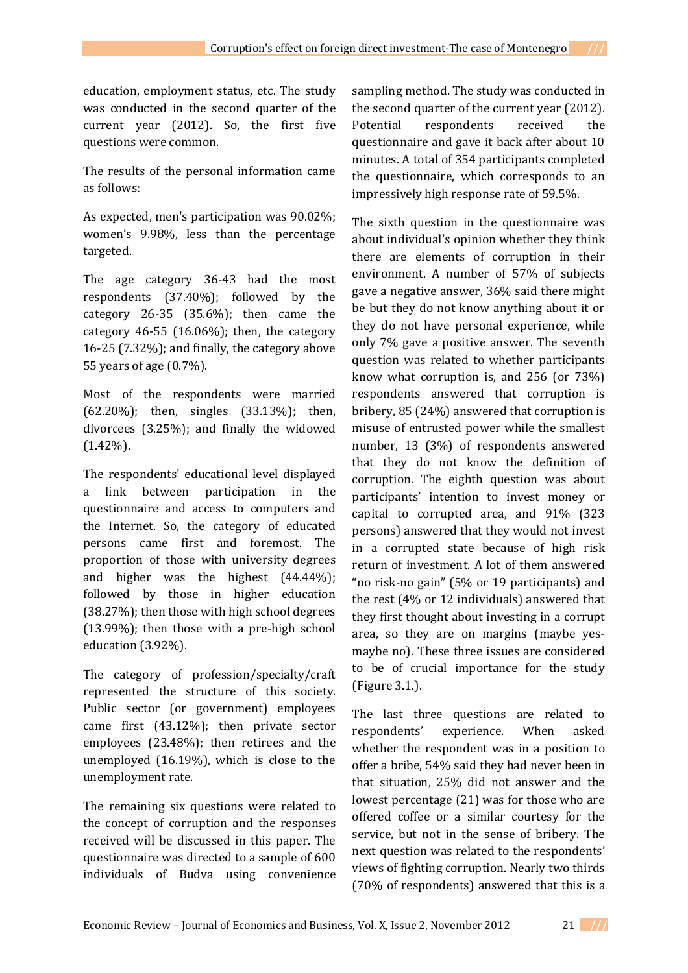education, employment status, etc. The study was conducted in the second quarter of the current year (2012). So, the first five questions were common.

The results of the personal information came as follows:

As expected, men's participation was 90.02%; women's 9.98%, less than the percentage targeted.

The age category 36-43 had the most respondents (37.40%); followed by the category 26-35 (35.6%); then came the category 46-55 (16.06%); then, the category 16-25 (7.32%); and finally, the category above 55 years of age (0.7%).

Most of the respondents were married (62.20%); then, singles (33.13%); then, divorcees (3.25%); and finally the widowed  $(1.42\%)$ .

The respondents' educational level displayed a link between participation in the questionnaire and access to computers and the Internet. So, the category of educated persons came first and foremost. The proportion of those with university degrees and higher was the highest (44.44%); followed by those in higher education (38.27%); then those with high school degrees (13.99%); then those with a pre-high school education (3.92%).

The category of profession/specialty/craft represented the structure of this society. Public sector (or government) employees came first (43.12%); then private sector employees (23.48%); then retirees and the unemployed (16.19%), which is close to the unemployment rate.

The remaining six questions were related to the concept of corruption and the responses received will be discussed in this paper. The questionnaire was directed to a sample of 600 individuals of Budva using convenience sampling method. The study was conducted in the second quarter of the current year (2012). Potential respondents received the questionnaire and gave it back after about 10 minutes. A total of 354 participants completed the questionnaire, which corresponds to an impressively high response rate of 59.5%.

The sixth question in the questionnaire was about individual's opinion whether they think there are elements of corruption in their environment. A number of 57% of subjects gave a negative answer, 36% said there might be but they do not know anything about it or they do not have personal experience, while only 7% gave a positive answer. The seventh question was related to whether participants know what corruption is, and 256 (or 73%) respondents answered that corruption is bribery, 85 (24%) answered that corruption is misuse of entrusted power while the smallest number, 13 (3%) of respondents answered that they do not know the definition of corruption. The eighth question was about participants' intention to invest money or capital to corrupted area, and 91% (323 persons) answered that they would not invest in a corrupted state because of high risk return of investment. A lot of them answered "no risk-no gain" (5% or 19 participants) and the rest (4% or 12 individuals) answered that they first thought about investing in a corrupt area, so they are on margins (maybe yesmaybe no). These three issues are considered to be of crucial importance for the study (Figure 3.1.).

The last three questions are related to respondents' experience. When asked whether the respondent was in a position to offer a bribe, 54% said they had never been in that situation, 25% did not answer and the lowest percentage (21) was for those who are offered coffee or a similar courtesy for the service, but not in the sense of bribery. The next question was related to the respondents' views of fighting corruption. Nearly two thirds (70% of respondents) answered that this is a

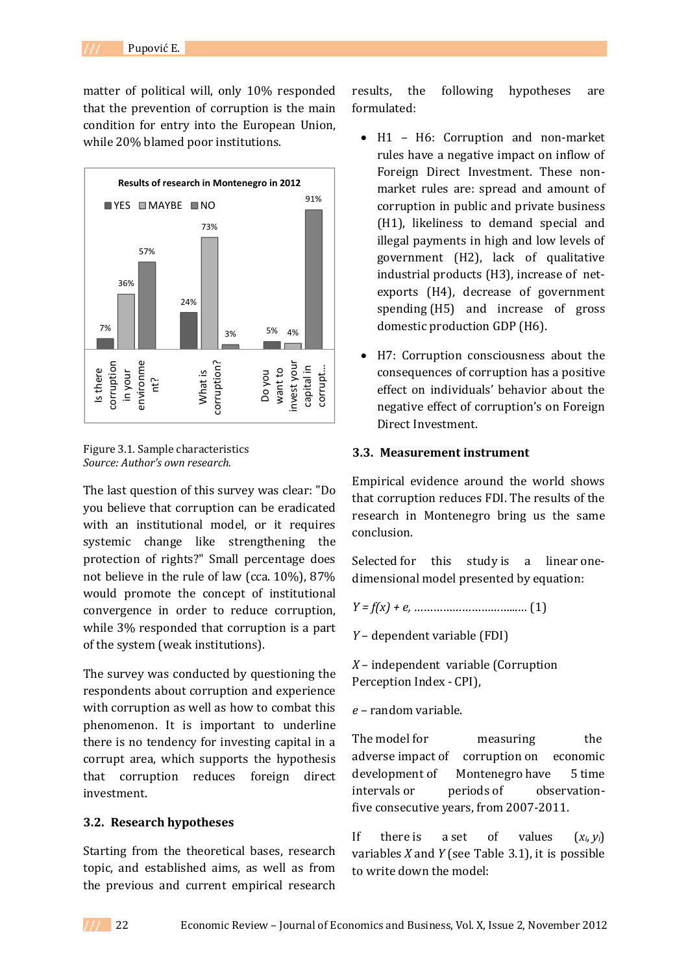matter of political will, only 10% responded that the prevention of corruption is the main condition for entry into the European Union, while 20% blamed poor institutions.



Figure 3.1. Sample characteristics *Source: Author's own research.*

The last question of this survey was clear: "Do you believe that corruption can be eradicated with an institutional model, or it requires systemic change like strengthening the protection of rights?" Small percentage does not believe in the rule of law (cca. 10%), 87% would promote the concept of institutional convergence in order to reduce corruption, while 3% responded that corruption is a part of the system (weak institutions).

The survey was conducted by questioning the respondents about corruption and experience with corruption as well as how to combat this phenomenon. It is important to underline there is no tendency for investing capital in a corrupt area, which supports the hypothesis that corruption reduces foreign direct investment.

## **3.2. Research hypotheses**

Starting from the theoretical bases, research topic, and established aims, as well as from the previous and current empirical research results, the following hypotheses are formulated:

- H1 H6: Corruption and non-market rules have a negative impact on inflow of Foreign Direct Investment. These nonmarket rules are: spread and amount of corruption in public and private business (H1), likeliness to demand special and illegal payments in high and low levels of government (H2), lack of qualitative industrial products (H3), increase of netexports (H4), decrease of government spending (H5) and increase of gross domestic production GDP (H6).
- H7: Corruption consciousness about the consequences of corruption has a positive effect on individuals' behavior about the negative effect of corruption's on Foreign Direct Investment.

## **3.3. Measurement instrument**

Empirical evidence around the world shows that corruption reduces FDI. The results of the research in Montenegro bring us the same conclusion.

Selected for this study is a linear onedimensional model presented by equation:

*Y = f(x) + e,* …………………………...… (1)

*Y* – dependent variable (FDI)

*X* – independent variable (Corruption Perception Index - CPI),

*e* – random variable.

The model for measuring the adverse impact of corruption on economic development of Montenegro have 5 time intervals or periods of observationfive consecutive years, from 2007-2011.

If there is a set of values  $(x_i, y_i)$ variables *X* and *Y* (see Table 3.1), it is possible to write down the model: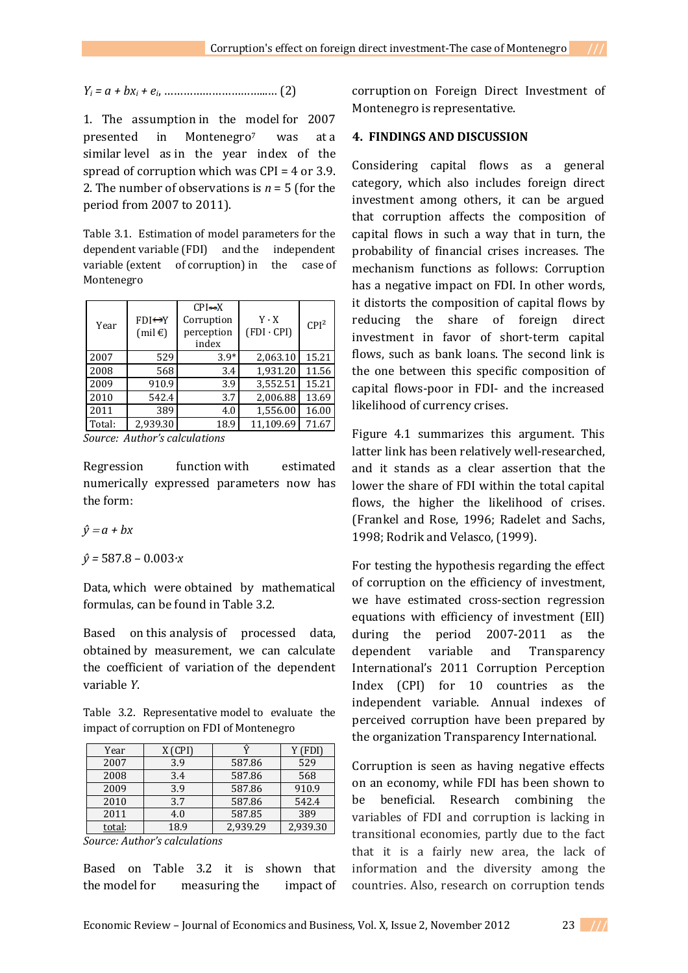*Y<sup>i</sup> = a + bx<sup>i</sup> + ei*, …………………………...… (2)

1. The assumption in the model for 2007 presented in Montenegro<sup>7</sup> was at a similar level as in the year index of the spread of corruption which was CPI = 4 or 3.9. 2. The number of observations is *n* = 5 (for the period from 2007 to 2011).

Table 3.1. Estimation of model parameters for the dependent variable (FDI) and the independent variable (extent of corruption) in the case of Montenegro

| Year   | $FDI \leftrightarrow Y$<br>$(mil \in)$ | $CPI \rightarrow X$<br>Corruption<br>perception<br>index | $Y \cdot X$<br>$(FDI \cdot CPI)$ | CPI <sup>2</sup> |
|--------|----------------------------------------|----------------------------------------------------------|----------------------------------|------------------|
| 2007   | 529                                    | $3.9*$                                                   | 2,063.10                         | 15.21            |
| 2008   | 568                                    | 3.4                                                      | 1,931.20                         | 11.56            |
| 2009   | 910.9                                  | 3.9                                                      | 3,552.51                         | 15.21            |
| 2010   | 542.4                                  | 3.7                                                      | 2,006.88                         | 13.69            |
| 2011   | 389                                    | 4.0                                                      | 1,556.00                         | 16.00            |
| Total: | 2.939.30                               | 18.9                                                     | 11.109.69                        | 71.67            |

*Source: Author's calculations*

Regression function with estimated numerically expressed parameters now has the form:

 $\hat{y} = a + bx$ 

*ŷ =* 587.8 – 0.003*·x*

Data, which were obtained by mathematical formulas, can be found in Table 3.2.

Based on this analysis of processed data, obtained by measurement, we can calculate the coefficient of variation of the dependent variable *Y*.

Table 3.2. Representative model to evaluate the impact of corruption on FDI of Montenegro

| Year   | X (CPI) |          | Y (FDI)  |
|--------|---------|----------|----------|
| 2007   | 3.9     | 587.86   | 529      |
| 2008   | 3.4     | 587.86   | 568      |
| 2009   | 3.9     | 587.86   | 910.9    |
| 2010   | 3.7     | 587.86   | 542.4    |
| 2011   | 4.0     | 587.85   | 389      |
| total: | 18.9    | 2,939.29 | 2,939.30 |

*Source: Author's calculations*

Based on Table 3.2 it is shown that the model for measuring the impact of corruption on Foreign Direct Investment of Montenegro is representative.

### **4. FINDINGS AND DISCUSSION**

Considering capital flows as a general category, which also includes foreign direct investment among others, it can be argued that corruption affects the composition of capital flows in such a way that in turn, the probability of financial crises increases. The mechanism functions as follows: Corruption has a negative impact on FDI. In other words, it distorts the composition of capital flows by reducing the share of foreign direct investment in favor of short-term capital flows, such as bank loans. The second link is the one between this specific composition of capital flows-poor in FDI- and the increased likelihood of currency crises.

Figure 4.1 summarizes this argument. This latter link has been relatively well-researched, and it stands as a clear assertion that the lower the share of FDI within the total capital flows, the higher the likelihood of crises. (Frankel and Rose, 1996; Radelet and Sachs, 1998; Rodrik and Velasco, (1999).

For testing the hypothesis regarding the effect of corruption on the efficiency of investment, we have estimated cross-section regression equations with efficiency of investment (EII) during the period 2007-2011 as the dependent variable and Transparency International's 2011 Corruption Perception Index (CPI) for 10 countries as the independent variable. Annual indexes of perceived corruption have been prepared by the organization Transparency International.

Corruption is seen as having negative effects on an economy, while FDI has been shown to be beneficial. Research combining the variables of FDI and corruption is lacking in transitional economies, partly due to the fact that it is a fairly new area, the lack of information and the diversity among the countries. Also, research on corruption tends

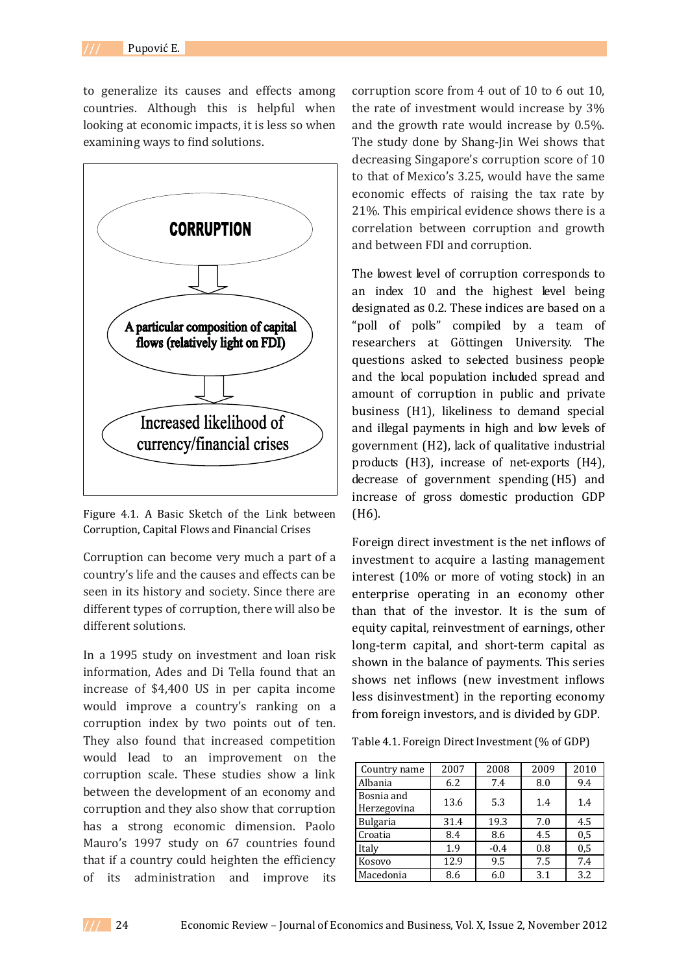to generalize its causes and effects among countries. Although this is helpful when looking at economic impacts, it is less so when examining ways to find solutions.



Figure 4.1. A Basic Sketch of the Link between Corruption, Capital Flows and Financial Crises

Corruption can become very much a part of a country's life and the causes and effects can be seen in its history and society. Since there are different types of corruption, there will also be different solutions.

In a 1995 study on investment and loan risk information, Ades and Di Tella found that an increase of \$4,400 US in per capita income would improve a country's ranking on a corruption index by two points out of ten. They also found that increased competition would lead to an improvement on the corruption scale. These studies show a link between the development of an economy and corruption and they also show that corruption has a strong economic dimension. Paolo Mauro's 1997 study on 67 countries found that if a country could heighten the efficiency of its administration and improve its

corruption score from 4 out of 10 to 6 out 10, the rate of investment would increase by 3% and the growth rate would increase by 0.5%. The study done by Shang-Jin Wei shows that decreasing Singapore's corruption score of 10 to that of Mexico's 3.25, would have the same economic effects of raising the tax rate by 21%. This empirical evidence shows there is a correlation between corruption and growth and between FDI and corruption.

The lowest level of corruption corresponds to an index 10 and the highest level being designated as 0.2. These indices are based on a "poll of polls" compiled by a team of researchers at Göttingen University. The questions asked to selected business people and the local population included spread and amount of corruption in public and private business (H1), likeliness to demand special and illegal payments in high and low levels of government (H2), lack of qualitative industrial products (H3), increase of net-exports (H4), decrease of government spending (H5) and increase of gross domestic production GDP (H6).

Foreign direct investment is the net inflows of investment to acquire a lasting management interest (10% or more of voting stock) in an enterprise operating in an economy other than that of the investor. It is the sum of equity capital, reinvestment of earnings, other long-term capital, and short-term capital as shown in the balance of payments. This series shows net inflows (new investment inflows less disinvestment) in the reporting economy from foreign investors, and is divided by GDP.

Table 4.1. Foreign Direct Investment (% of GDP)

| Country name              | 2007 | 2008   | 2009 | 2010 |
|---------------------------|------|--------|------|------|
| Albania                   | 6.2  | 7.4    | 8.0  | 9.4  |
| Bosnia and<br>Herzegovina | 13.6 | 5.3    | 1.4  | 1.4  |
| <b>Bulgaria</b>           | 31.4 | 19.3   | 7.0  | 4.5  |
| Croatia                   | 8.4  | 8.6    | 4.5  | 0,5  |
| Italy                     | 1.9  | $-0.4$ | 0.8  | 0,5  |
| Kosovo                    | 12.9 | 9.5    | 7.5  | 7.4  |
| Macedonia                 | 8.6  | 6.0    | 3.1  | 3.2  |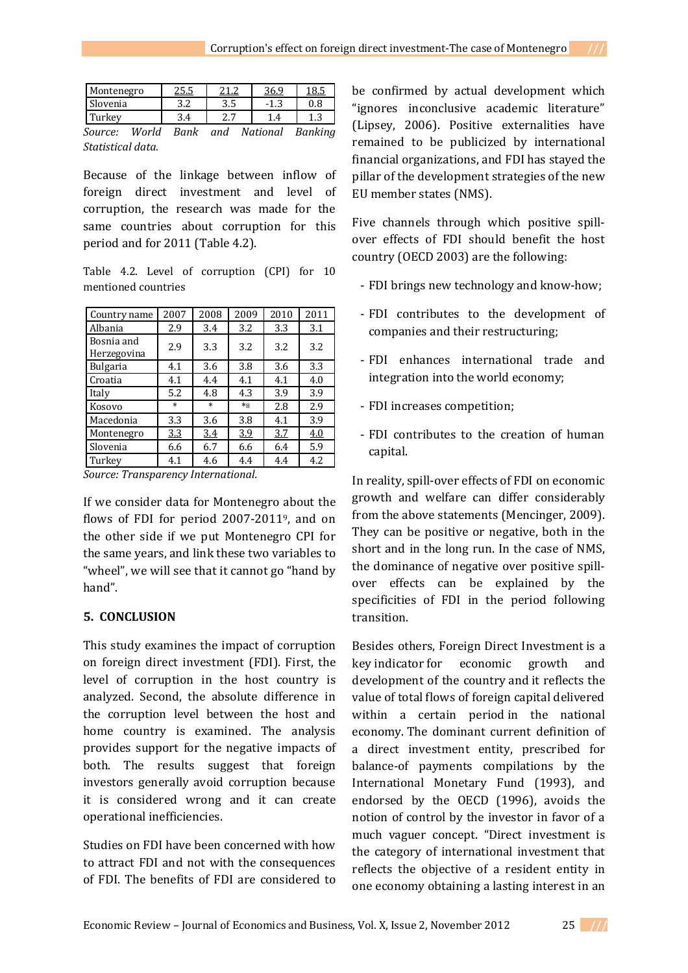| Montenegro       |  | 25.5 | 21.2 | 36.9     | 18.5    |
|------------------|--|------|------|----------|---------|
| Slovenia         |  | 3.2  | 3.5  | $-1.3$   | 0.8     |
| Turkey           |  | 3.4  |      |          | 1.3     |
| World<br>Source: |  | Bank | and  | National | Bankina |

*Statistical data.*

Because of the linkage between inflow of foreign direct investment and level of corruption, the research was made for the same countries about corruption for this period and for 2011 (Table 4.2).

Table 4.2. Level of corruption (CPI) for 10 mentioned countries

| Country name              | 2007   | 2008   | 2009 | 2010 | 2011 |
|---------------------------|--------|--------|------|------|------|
| Albania                   | 2.9    | 3.4    | 3.2  | 3.3  | 3.1  |
| Bosnia and<br>Herzegovina | 2.9    | 3.3    | 3.2  | 3.2  | 3.2  |
| <b>Bulgaria</b>           | 4.1    | 3.6    | 3.8  | 3.6  | 3.3  |
| Croatia                   | 4.1    | 4.4    | 4.1  | 4.1  | 4.0  |
| Italy                     | 5.2    | 4.8    | 4.3  | 3.9  | 3.9  |
| Kosovo                    | $\ast$ | $\ast$ | $*8$ | 2.8  | 2.9  |
| Macedonia                 | 3.3    | 3.6    | 3.8  | 4.1  | 3.9  |
| Montenegro                | 3.3    | 3.4    | 3.9  | 3.7  | 4.0  |
| Slovenia                  | 6.6    | 6.7    | 6.6  | 6.4  | 5.9  |
| Turkey                    | 4.1    | 4.6    | 4.4  | 4.4  | 4.2  |

*Source: Transparency International.*

If we consider data for Montenegro about the flows of FDI for period 2007-20119, and on the other side if we put Montenegro CPI for the same years, and link these two variables to "wheel", we will see that it cannot go "hand by hand".

# **5. CONCLUSION**

This study examines the impact of corruption on foreign direct investment (FDI). First, the level of corruption in the host country is analyzed. Second, the absolute difference in the corruption level between the host and home country is examined. The analysis provides support for the negative impacts of both. The results suggest that foreign investors generally avoid corruption because it is considered wrong and it can create operational inefficiencies.

Studies on FDI have been concerned with how to attract FDI and not with the consequences of FDI. The benefits of FDI are considered to

be confirmed by actual development which "ignores inconclusive academic literature" (Lipsey, 2006). Positive externalities have remained to be publicized by international financial organizations, and FDI has stayed the pillar of the development strategies of the new EU member states (NMS).

Five channels through which positive spillover effects of FDI should benefit the host country (OECD 2003) are the following:

- FDI brings new technology and know-how;
- FDI contributes to the development of companies and their restructuring;
- FDI enhances international trade and integration into the world economy;
- FDI increases competition;
- FDI contributes to the creation of human capital.

In reality, spill-over effects of FDI on economic growth and welfare can differ considerably from the above statements (Mencinger, 2009). They can be positive or negative, both in the short and in the long run. In the case of NMS, the dominance of negative over positive spillover effects can be explained by the specificities of FDI in the period following transition.

Besides others, Foreign Direct Investment is a key indicator for economic growth and development of the country and it reflects the value of total flows of foreign capital delivered within a certain period in the national economy. The dominant current definition of a direct investment entity, prescribed for balance-of payments compilations by the International Monetary Fund (1993), and endorsed by the OECD (1996), avoids the notion of control by the investor in favor of a much vaguer concept. "Direct investment is the category of international investment that reflects the objective of a resident entity in one economy obtaining a lasting interest in an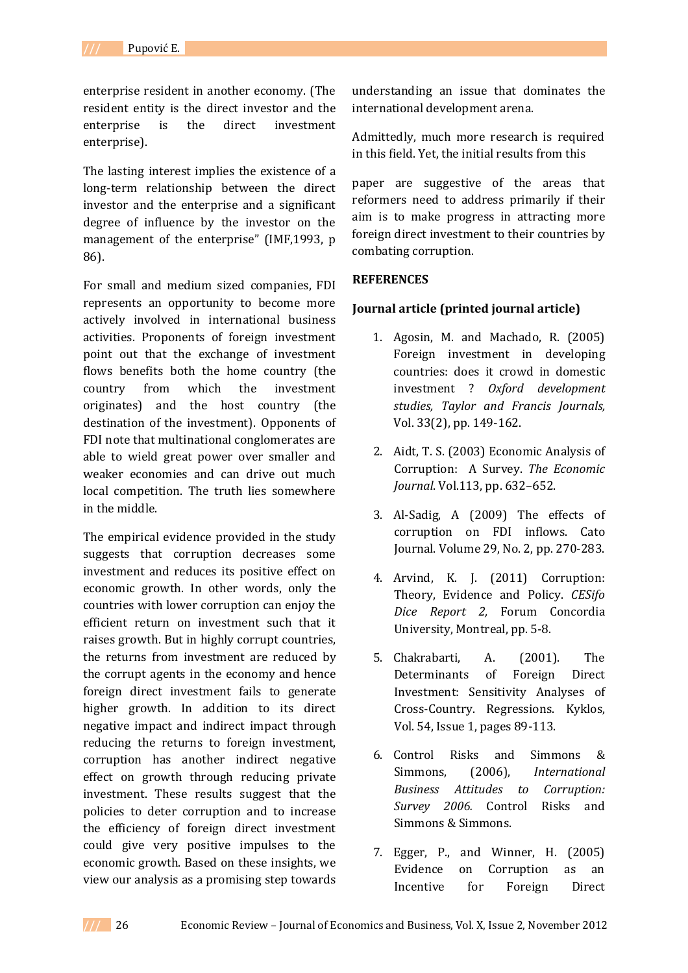enterprise resident in another economy. (The resident entity is the direct investor and the enterprise is the direct investment enterprise).

The lasting interest implies the existence of a long-term relationship between the direct investor and the enterprise and a significant degree of influence by the investor on the management of the enterprise" (IMF,1993, p 86).

For small and medium sized companies, FDI represents an opportunity to become more actively involved in international business activities. Proponents of foreign investment point out that the exchange of investment flows benefits both the home country (the country from which the investment originates) and the host country (the destination of the investment). Opponents of FDI note that multinational conglomerates are able to wield great power over smaller and weaker economies and can drive out much local competition. The truth lies somewhere in the middle.

The empirical evidence provided in the study suggests that corruption decreases some investment and reduces its positive effect on economic growth. In other words, only the countries with lower corruption can enjoy the efficient return on investment such that it raises growth. But in highly corrupt countries, the returns from investment are reduced by the corrupt agents in the economy and hence foreign direct investment fails to generate higher growth. In addition to its direct negative impact and indirect impact through reducing the returns to foreign investment, corruption has another indirect negative effect on growth through reducing private investment. These results suggest that the policies to deter corruption and to increase the efficiency of foreign direct investment could give very positive impulses to the economic growth. Based on these insights, we view our analysis as a promising step towards

understanding an issue that dominates the international development arena.

Admittedly, much more research is required in this field. Yet, the initial results from this

paper are suggestive of the areas that reformers need to address primarily if their aim is to make progress in attracting more foreign direct investment to their countries by combating corruption.

### **REFERENCES**

### **Journal article (printed journal article)**

- 1. Agosin, M. and Machado, R. (2005) Foreign investment in developing countries: does it crowd in domestic investment ? *Oxford development studies, Taylor and Francis Journals,*  Vol. 33(2), pp. 149-162.
- 2. Aidt, T. S. (2003) Economic Analysis of Corruption: A Survey. *The Economic Journal*. Vol.113, pp. 632–652.
- 3. Al-Sadig, A (2009) The effects of corruption on FDI inflows. Cato Journal. Volume 29, No. 2, pp. 270-283.
- 4. Arvind, K. J. (2011) Corruption: Theory, Evidence and Policy. *CESifo Dice Report 2,* Forum Concordia University, Montreal, pp. 5-8.
- 5. Chakrabarti, A. (2001). The Determinants of Foreign Direct Investment: Sensitivity Analyses of Cross-Country. Regressions. Kyklos, Vol. 54, Issue 1, pages 89-113.
- 6. Control Risks and Simmons & Simmons, (2006), *International Business Attitudes to Corruption: Survey 2006.* Control Risks and Simmons & Simmons.
- 7. Egger, P., and Winner, H. (2005) Evidence on Corruption as an Incentive for Foreign Direct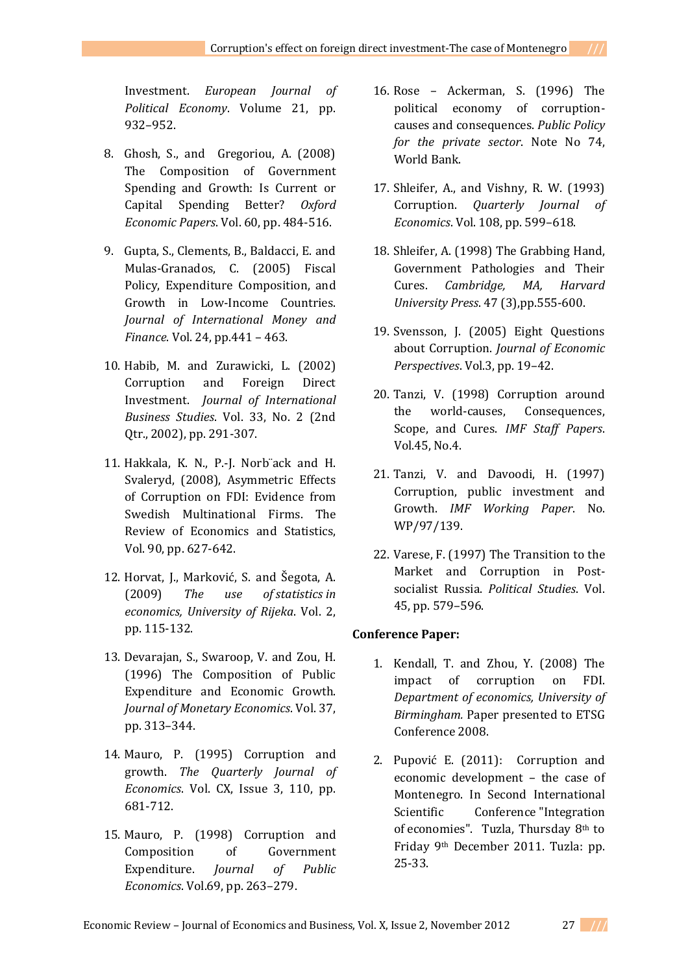Investment. *European Journal of Political Economy*. Volume 21, pp. 932–952.

- 8. Ghosh, S., and Gregoriou, A. (2008) The Composition of Government Spending and Growth: Is Current or Capital Spending Better? *Oxford Economic Papers*. Vol. 60, pp. 484-516.
- 9. Gupta, S., Clements, B., Baldacci, E. and Mulas-Granados, C. (2005) Fiscal Policy, Expenditure Composition, and Growth in Low-Income Countries. *Journal of International Money and Finance*. Vol. 24, pp.441 – 463.
- 10. Habib, M. and Zurawicki, L. (2002) Corruption and Foreign Direct Investment. *Journal of International Business Studies*. Vol. 33, No. 2 (2nd Qtr., 2002), pp. 291-307.
- 11. Hakkala, K. N., P.-J. Norb¨ack and H. Svaleryd, (2008), Asymmetric Effects of Corruption on FDI: Evidence from Swedish Multinational Firms. The Review of Economics and Statistics, Vol. 90, pp. 627-642.
- 12. Horvat, J., Marković, S. and Šegota, A. (2009) *The use of statistics in economics, University of Rijeka*. Vol. 2, pp. 115-132.
- 13. Devarajan, S., Swaroop, V. and Zou, H. (1996) The Composition of Public Expenditure and Economic Growth. *Journal of Monetary Economics*. Vol. 37, pp. 313–344.
- 14. Mauro, P. (1995) Corruption and growth. *The Quarterly Journal of Economics*. Vol. CX, Issue 3, 110, pp. 681-712.
- 15. Mauro, P. (1998) Corruption and Composition of Government Expenditure. *Journal of Public Economics*. Vol.69, pp. 263–279.
- 16. Rose Ackerman, S. (1996) The political economy of corruptioncauses and consequences. *Public Policy for the private sector*. Note No 74, World Bank.
- 17. Shleifer, A., and Vishny, R. W. (1993) Corruption. *Quarterly Journal of Economics*. Vol. 108, pp. 599–618.
- 18. Shleifer, A. (1998) The Grabbing Hand, Government Pathologies and Their Cures. *Cambridge, MA, Harvard University Press*. 47 (3),pp.555-600.
- 19. Svensson, J. (2005) Eight Questions about Corruption. *Journal of Economic Perspectives*. Vol.3, pp. 19–42.
- 20. Tanzi, V. (1998) Corruption around the world-causes, Consequences, Scope, and Cures. *IMF Staff Papers*. Vol.45, No.4.
- 21. Tanzi, V. and Davoodi, H. (1997) Corruption, public investment and Growth. *IMF Working Paper*. No. WP/97/139.
- 22. Varese, F. (1997) The Transition to the Market and Corruption in Postsocialist Russia. *Political Studies*. Vol. 45, pp. 579–596.

## **Conference Paper:**

- 1. Kendall, T. and Zhou, Y. (2008) The impact of corruption on FDI. *Department of economics, University of Birmingham.* Paper presented to ETSG Conference 2008.
- 2. Pupović E. (2011): Corruption and economic development – the case of Montenegro. In Second International Scientific Conference "Integration of economies". Tuzla, Thursday 8th to Friday 9th December 2011. Tuzla: pp. 25-33.